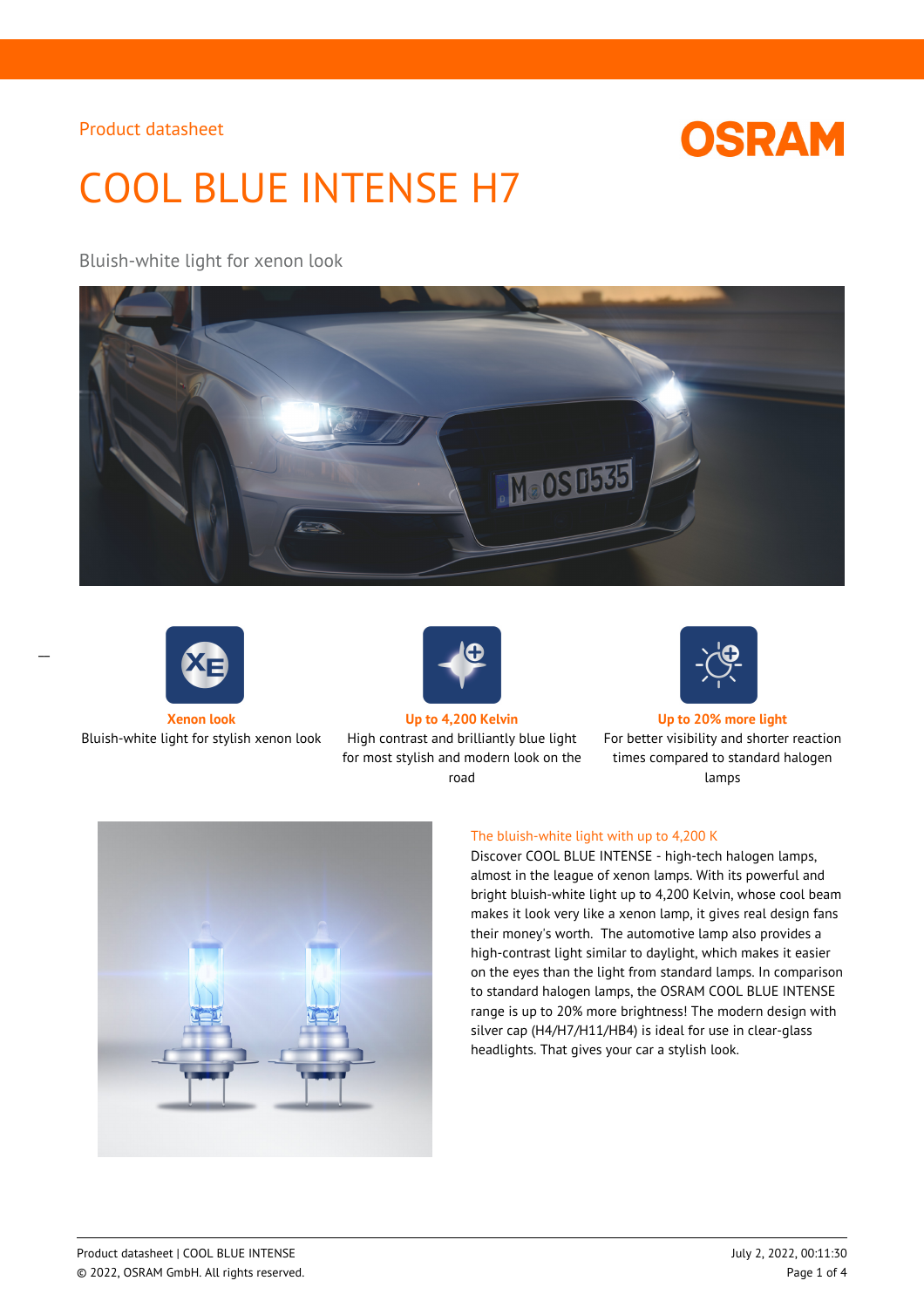# **OSRAM**

# COOL BLUE INTENSE H7

## Bluish-white light for xenon look





 $\overline{a}$ 



Bluish-white light for stylish xenon look High contrast and brilliantly blue light for most stylish and modern look on the road



#### **Xenon look Up to 4,200 Kelvin Up to 20% more light**

For better visibility and shorter reaction times compared to standard halogen lamps



#### The bluish-white light with up to 4,200 K

Discover COOL BLUE INTENSE - high-tech halogen lamps, almost in the league of xenon lamps. With its powerful and bright bluish-white light up to 4,200 Kelvin, whose cool beam makes it look very like a xenon lamp, it gives real design fans their money's worth. The automotive lamp also provides a high-contrast light similar to daylight, which makes it easier on the eyes than the light from standard lamps. In comparison to standard halogen lamps, the OSRAM COOL BLUE INTENSE range is up to 20% more brightness! The modern design with silver cap (H4/H7/H11/HB4) is ideal for use in clear-glass headlights. That gives your car a stylish look.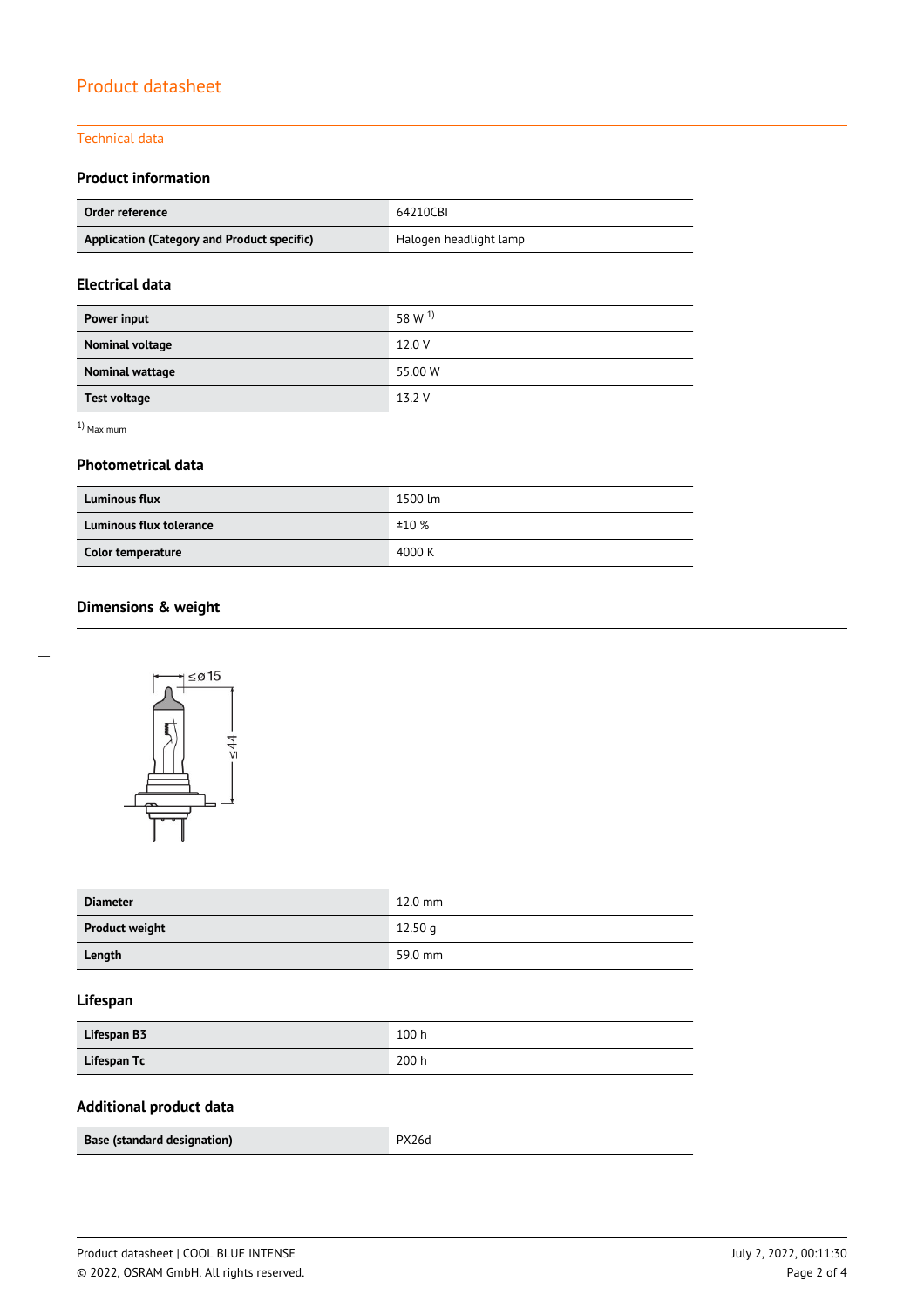#### Technical data

#### **Product information**

| Order reference                             | 64210CBI               |  |
|---------------------------------------------|------------------------|--|
| Application (Category and Product specific) | Halogen headlight lamp |  |

#### **Electrical data**

| Power input         | 58 W $^{1}$ |
|---------------------|-------------|
| Nominal voltage     | 12.0 V      |
| Nominal wattage     | 55.00 W     |
| <b>Test voltage</b> | 13.2 V      |

1) Maximum

#### **Photometrical data**

| <b>Luminous flux</b>    | 1500 lm |  |
|-------------------------|---------|--|
| Luminous flux tolerance | ±10%    |  |
| Color temperature       | 4000 K  |  |

# **Dimensions & weight**



| <b>Diameter</b>       | $12.0$ mm |
|-----------------------|-----------|
| <b>Product weight</b> | 12.50 g   |
| Length                | 59.0 mm   |

### **Lifespan**

| Lifespan B3 | 100h  |
|-------------|-------|
| Lifespan Tc | 200 h |

# **Additional product data**

| Base (standard designation) | PX26d |
|-----------------------------|-------|
|                             |       |

 $\overline{a}$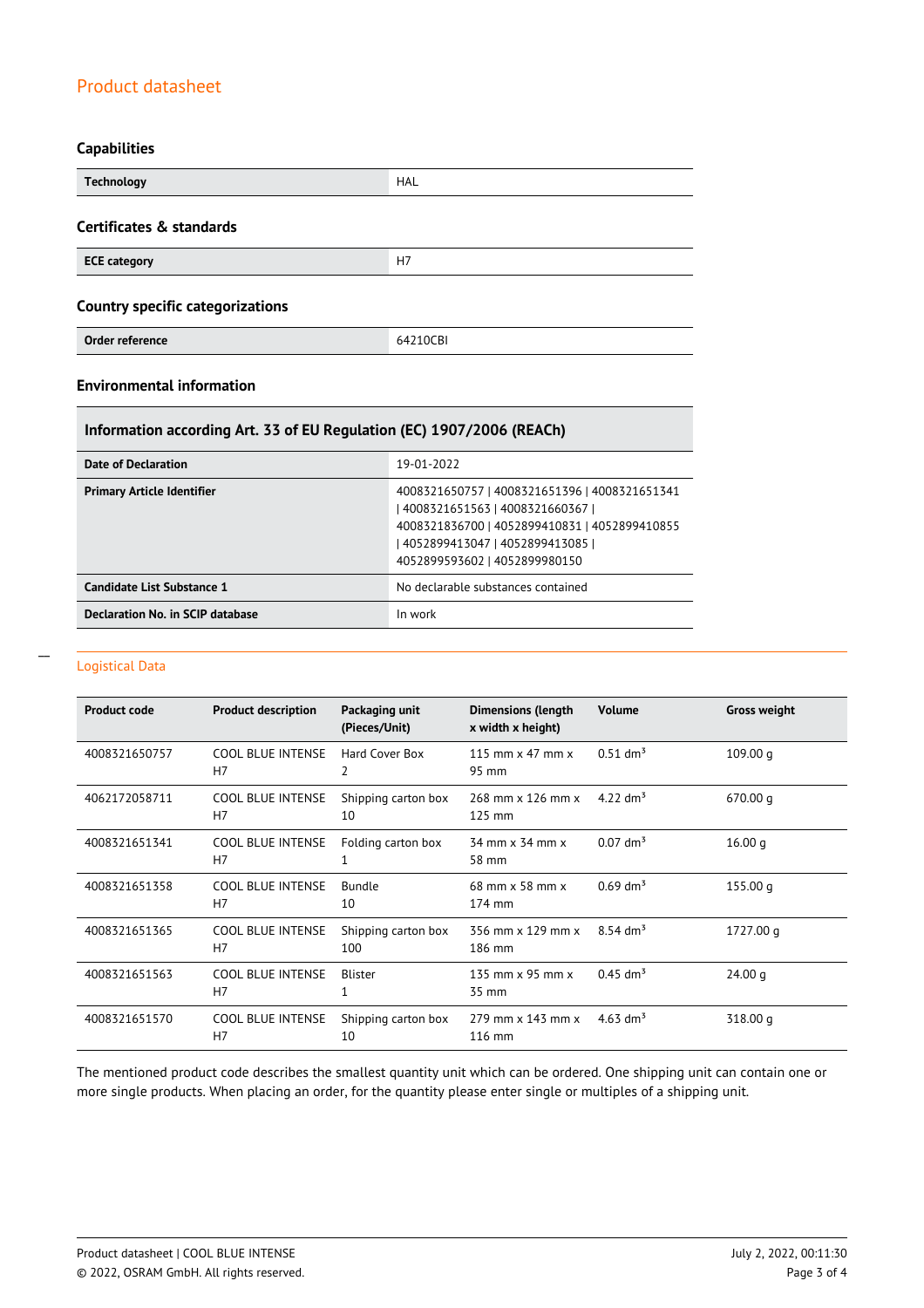#### **Capabilities**

| <b>Technology</b>                       | <b>HAL</b> |
|-----------------------------------------|------------|
| Certificates & standards                |            |
| <b>ECE category</b>                     | H7         |
| <b>Country specific categorizations</b> |            |
| Order reference                         | 64210CBI   |

## **Environmental information**

#### **Information according Art. 33 of EU Regulation (EC) 1907/2006 (REACh)**

| Date of Declaration               | 19-01-2022                                                                                                                                                                                            |
|-----------------------------------|-------------------------------------------------------------------------------------------------------------------------------------------------------------------------------------------------------|
| <b>Primary Article Identifier</b> | 4008321650757   4008321651396   4008321651341<br>4008321651563   4008321660367  <br>4008321836700   4052899410831   4052899410855<br>4052899413047   4052899413085  <br>4052899593602   4052899980150 |
| Candidate List Substance 1        | No declarable substances contained                                                                                                                                                                    |
| Declaration No. in SCIP database  | In work                                                                                                                                                                                               |

#### Logistical Data

 $\overline{a}$ 

| <b>Product code</b> | <b>Product description</b>                 | Packaging unit<br>(Pieces/Unit) | <b>Dimensions (length</b><br>x width x height) | <b>Volume</b>          | <b>Gross weight</b> |
|---------------------|--------------------------------------------|---------------------------------|------------------------------------------------|------------------------|---------------------|
| 4008321650757       | <b>COOL BLUE INTENSE</b><br>H <sub>7</sub> | Hard Cover Box<br>2             | 115 mm $\times$ 47 mm $\times$<br>95 mm        | $0.51$ dm <sup>3</sup> | 109.00 <sub>q</sub> |
| 4062172058711       | <b>COOL BLUE INTENSE</b><br>H7             | Shipping carton box<br>10       | 268 mm x 126 mm x<br>125 mm                    | 4.22 $\rm{dm^{3}}$     | 670.00 q            |
| 4008321651341       | <b>COOL BLUE INTENSE</b><br>H7             | Folding carton box              | 34 mm x 34 mm x<br>58 mm                       | $0.07$ dm <sup>3</sup> | 16.00 g             |
| 4008321651358       | <b>COOL BLUE INTENSE</b><br>H <sub>7</sub> | Bundle<br>10                    | 68 mm x 58 mm x<br>174 mm                      | $0.69$ dm <sup>3</sup> | 155.00q             |
| 4008321651365       | <b>COOL BLUE INTENSE</b><br>H7             | Shipping carton box<br>100      | 356 mm x 129 mm x<br>186 mm                    | $8.54 \text{ dm}^3$    | 1727.00 g           |
| 4008321651563       | <b>COOL BLUE INTENSE</b><br>H7             | Blister                         | 135 mm $\times$ 95 mm $\times$<br>35 mm        | $0.45$ dm <sup>3</sup> | 24.00 g             |
| 4008321651570       | <b>COOL BLUE INTENSE</b><br>H <sub>7</sub> | Shipping carton box<br>10       | 279 mm x 143 mm x<br>116 mm                    | 4.63 dm <sup>3</sup>   | 318.00 g            |

The mentioned product code describes the smallest quantity unit which can be ordered. One shipping unit can contain one or more single products. When placing an order, for the quantity please enter single or multiples of a shipping unit.